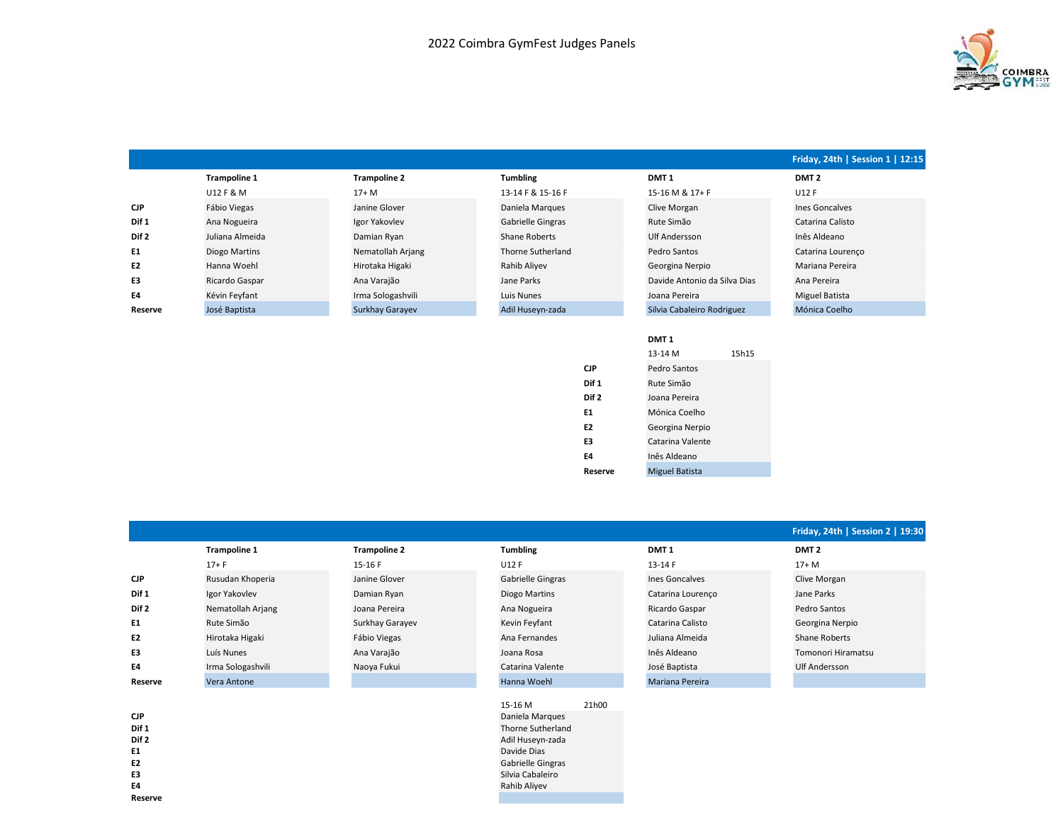

|                  |                     |                     |                   |                              | Friday, 24th   Session 1   12:15 |
|------------------|---------------------|---------------------|-------------------|------------------------------|----------------------------------|
|                  | <b>Trampoline 1</b> | <b>Trampoline 2</b> | <b>Tumbling</b>   | DMT <sub>1</sub>             | DMT <sub>2</sub>                 |
|                  | U12 F & M           | $17+M$              | 13-14 F & 15-16 F | 15-16 M & 17+ F              | U12 F                            |
| <b>CJP</b>       | Fábio Viegas        | Janine Glover       | Daniela Marques   | Clive Morgan                 | Ines Goncalves                   |
| Dif 1            | Ana Nogueira        | Igor Yakovlev       | Gabrielle Gingras | Rute Simão                   | Catarina Calisto                 |
| Dif <sub>2</sub> | Juliana Almeida     | Damian Ryan         | Shane Roberts     | Ulf Andersson                | Inês Aldeano                     |
| E1               | Diogo Martins       | Nematollah Arjang   | Thorne Sutherland | Pedro Santos                 | Catarina Lourenco                |
| E <sub>2</sub>   | Hanna Woehl         | Hirotaka Higaki     | Rahib Aliyev      | Georgina Nerpio              | Mariana Pereira                  |
| E3               | Ricardo Gaspar      | Ana Varajão         | Jane Parks        | Davide Antonio da Silva Dias | Ana Pereira                      |
| E4               | Kévin Feyfant       | Irma Sologashvili   | Luis Nunes        | Joana Pereira                | Miguel Batista                   |
| Reserve          | José Baptista       | Surkhay Garayev     | Adil Huseyn-zada  | Silvia Cabaleiro Rodriguez   | Mónica Coelho                    |
|                  |                     |                     |                   |                              |                                  |
|                  |                     |                     |                   | DMT <sub>1</sub>             |                                  |
|                  |                     |                     |                   | 15h15<br>13-14 M             |                                  |
|                  |                     |                     | <b>CJP</b>        | Pedro Santos                 |                                  |

Dif 1 Rute Simão Dif 2 Joana Pereira E1 Mónica Coelho E2 Georgina Nerpio E3 Catarina Valente E4 Inês Aldeano Reserve Miguel Batista

|            |                     |                     |                   |                        | Friday, 24th   Session 2   19:30 |
|------------|---------------------|---------------------|-------------------|------------------------|----------------------------------|
|            | <b>Trampoline 1</b> | <b>Trampoline 2</b> | <b>Tumbling</b>   | DMT <sub>1</sub>       | DMT <sub>2</sub>                 |
|            | $17 + F$            | 15-16 F             | U12 F             | 13-14 F                | $17+ M$                          |
| <b>CJP</b> | Rusudan Khoperia    | Janine Glover       | Gabrielle Gingras | Ines Goncalves         | Clive Morgan                     |
| Dif 1      | Igor Yakovlev       | Damian Ryan         | Diogo Martins     | Catarina Lourenco      | Jane Parks                       |
| Dif 2      | Nematollah Arjang   | Joana Pereira       | Ana Nogueira      | Ricardo Gaspar         | Pedro Santos                     |
| E1         | Rute Simão          | Surkhay Garayev     | Kevin Feyfant     | Catarina Calisto       | Georgina Nerpio                  |
| E2         | Hirotaka Higaki     | Fábio Viegas        | Ana Fernandes     | Juliana Almeida        | Shane Roberts                    |
| E3         | Luís Nunes          | Ana Varajão         | Joana Rosa        | Inês Aldeano           | Tomonori Hiramatsu               |
| E4         | Irma Sologashvili   | Naoya Fukui         | Catarina Valente  | José Baptista          | Ulf Andersson                    |
| Reserve    | Vera Antone         |                     | Hanna Woehl       | <b>Mariana Pereira</b> |                                  |
|            |                     |                     | 21h00<br>15-16 M  |                        |                                  |

Thorne Sutherland Adil Huseyn-zada Davide Dias Gabrielle Gingras Silvia Cabaleiro Rahib Aliyev

| <b>CJP</b>       | Daniela Marques          |
|------------------|--------------------------|
| Dif 1            | Thorne Sutherlan         |
| Dif <sub>2</sub> | Adil Huseyn-zada         |
| E <sub>1</sub>   | Davide Dias              |
| E <sub>2</sub>   | <b>Gabrielle Gingras</b> |
| E3               | Silvia Cabaleiro         |
| E4               | Rahib Aliyev             |
| Reserve          |                          |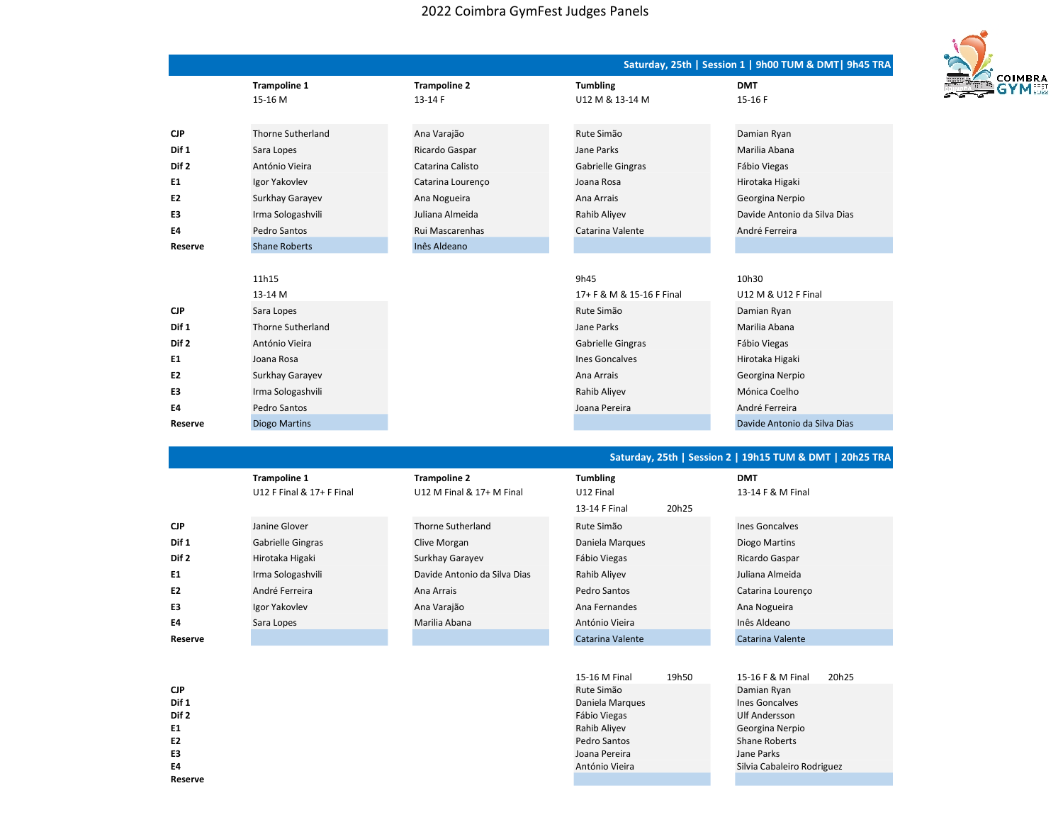## 2022 Coimbra GymFest Judges Panels

|                  |                          |                     |                           | Saturday, 25th   Session 1   9h00 TUM & DMT   9h45 TRA |
|------------------|--------------------------|---------------------|---------------------------|--------------------------------------------------------|
|                  | <b>Trampoline 1</b>      | <b>Trampoline 2</b> | <b>Tumbling</b>           | <b>DMT</b>                                             |
|                  | 15-16 M                  | 13-14 F             | U12 M & 13-14 M           | 15-16 F                                                |
|                  |                          |                     |                           |                                                        |
| <b>CJP</b>       | <b>Thorne Sutherland</b> | Ana Varajão         | Rute Simão                | Damian Ryan                                            |
| Dif 1            | Sara Lopes               | Ricardo Gaspar      | Jane Parks                | Marilia Abana                                          |
| Dif <sub>2</sub> | António Vieira           | Catarina Calisto    | Gabrielle Gingras         | Fábio Viegas                                           |
| E1               | Igor Yakovlev            | Catarina Lourenço   | Joana Rosa                | Hirotaka Higaki                                        |
| E <sub>2</sub>   | Surkhay Garayev          | Ana Nogueira        | Ana Arrais                | Georgina Nerpio                                        |
| E3               | Irma Sologashvili        | Juliana Almeida     | Rahib Aliyev              | Davide Antonio da Silva Dias                           |
| E4               | Pedro Santos             | Rui Mascarenhas     | Catarina Valente          | André Ferreira                                         |
| Reserve          | <b>Shane Roberts</b>     | Inês Aldeano        |                           |                                                        |
|                  |                          |                     |                           |                                                        |
|                  | 11h15                    |                     | 9h45                      | 10h30                                                  |
|                  | 13-14 M                  |                     | 17+ F & M & 15-16 F Final | U12 M & U12 F Final                                    |
| <b>CJP</b>       | Sara Lopes               |                     | Rute Simão                | Damian Ryan                                            |
| Dif 1            | Thorne Sutherland        |                     | Jane Parks                | Marilia Abana                                          |
| Dif <sub>2</sub> | António Vieira           |                     | Gabrielle Gingras         | Fábio Viegas                                           |
| E1               | Joana Rosa               |                     | <b>Ines Goncalves</b>     | Hirotaka Higaki                                        |
| E <sub>2</sub>   | Surkhay Garayev          |                     | Ana Arrais                | Georgina Nerpio                                        |
| E3               | Irma Sologashvili        |                     | Rahib Aliyev              | Mónica Coelho                                          |
| E4               | Pedro Santos             |                     | Joana Pereira             | André Ferreira                                         |
| Reserve          | <b>Diogo Martins</b>     |                     |                           | Davide Antonio da Silva Dias                           |

## Saturday, 25th | Session 2 | 19h15 TUM & DMT | 20h25 TRA

|                | <b>Trampoline 1</b><br>U12 F Final & 17+ F Final | <b>Trampoline 2</b><br>U12 M Final & 17+ M Final | <b>Tumbling</b><br>U12 Final |       | <b>DMT</b><br>13-14 F & M Final |
|----------------|--------------------------------------------------|--------------------------------------------------|------------------------------|-------|---------------------------------|
|                |                                                  |                                                  | 13-14 F Final                | 20h25 |                                 |
| <b>CJP</b>     | Janine Glover                                    | Thorne Sutherland                                | Rute Simão                   |       | Ines Goncalves                  |
| Dif 1          | <b>Gabrielle Gingras</b>                         | Clive Morgan                                     | Daniela Margues              |       | Diogo Martins                   |
| Dif 2          | Hirotaka Higaki                                  | Surkhay Garayev                                  | Fábio Viegas                 |       | Ricardo Gaspar                  |
| E1             | Irma Sologashvili                                | Davide Antonio da Silva Dias                     | Rahib Aliyev                 |       | Juliana Almeida                 |
| E <sub>2</sub> | André Ferreira                                   | Ana Arrais                                       | Pedro Santos                 |       | Catarina Lourenco               |
| E3             | Igor Yakovlev                                    | Ana Varajão                                      | Ana Fernandes                |       | Ana Nogueira                    |
| E4             | Sara Lopes                                       | Marilia Abana                                    | António Vieira               |       | Inês Aldeano                    |
| Reserve        |                                                  |                                                  | Catarina Valente             |       | Catarina Valente                |

|                  | 15-16 M Final<br>19h50 | 20h25<br>15-16 F & M Final |
|------------------|------------------------|----------------------------|
| <b>CJP</b>       | Rute Simão             | Damian Ryan                |
| Dif 1            | Daniela Margues        | <b>Ines Goncalves</b>      |
| Dif <sub>2</sub> | Fábio Viegas           | Ulf Andersson              |
| E1               | Rahib Aliyev           | Georgina Nerpio            |
| E <sub>2</sub>   | Pedro Santos           | <b>Shane Roberts</b>       |
| E3               | Joana Pereira          | Jane Parks                 |
| E4               | António Vieira         | Silvia Cabaleiro Rodriguez |
| Reserve          |                        |                            |